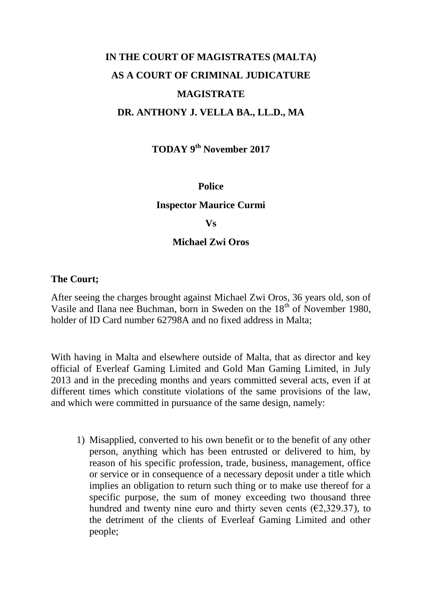# **IN THE COURT OF MAGISTRATES (MALTA) AS A COURT OF CRIMINAL JUDICATURE MAGISTRATE DR. ANTHONY J. VELLA BA., LL.D., MA**

**TODAY 9 th November 2017**

#### **Police**

#### **Inspector Maurice Curmi**

#### **Vs**

#### **Michael Zwi Oros**

#### **The Court;**

After seeing the charges brought against Michael Zwi Oros, 36 years old, son of Vasile and Ilana nee Buchman, born in Sweden on the 18<sup>th</sup> of November 1980, holder of ID Card number 62798A and no fixed address in Malta;

With having in Malta and elsewhere outside of Malta, that as director and key official of Everleaf Gaming Limited and Gold Man Gaming Limited, in July 2013 and in the preceding months and years committed several acts, even if at different times which constitute violations of the same provisions of the law, and which were committed in pursuance of the same design, namely:

1) Misapplied, converted to his own benefit or to the benefit of any other person, anything which has been entrusted or delivered to him, by reason of his specific profession, trade, business, management, office or service or in consequence of a necessary deposit under a title which implies an obligation to return such thing or to make use thereof for a specific purpose, the sum of money exceeding two thousand three hundred and twenty nine euro and thirty seven cents  $(\text{\textsterling}2,329.37)$ , to the detriment of the clients of Everleaf Gaming Limited and other people;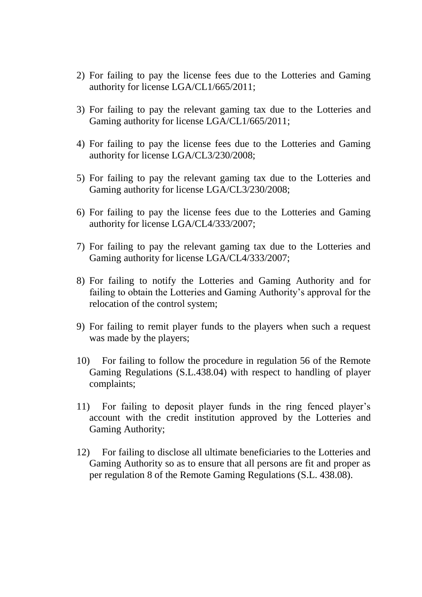- 2) For failing to pay the license fees due to the Lotteries and Gaming authority for license LGA/CL1/665/2011;
- 3) For failing to pay the relevant gaming tax due to the Lotteries and Gaming authority for license LGA/CL1/665/2011;
- 4) For failing to pay the license fees due to the Lotteries and Gaming authority for license LGA/CL3/230/2008;
- 5) For failing to pay the relevant gaming tax due to the Lotteries and Gaming authority for license LGA/CL3/230/2008;
- 6) For failing to pay the license fees due to the Lotteries and Gaming authority for license LGA/CL4/333/2007;
- 7) For failing to pay the relevant gaming tax due to the Lotteries and Gaming authority for license LGA/CL4/333/2007;
- 8) For failing to notify the Lotteries and Gaming Authority and for failing to obtain the Lotteries and Gaming Authority's approval for the relocation of the control system;
- 9) For failing to remit player funds to the players when such a request was made by the players;
- 10) For failing to follow the procedure in regulation 56 of the Remote Gaming Regulations (S.L.438.04) with respect to handling of player complaints;
- 11) For failing to deposit player funds in the ring fenced player's account with the credit institution approved by the Lotteries and Gaming Authority;
- 12) For failing to disclose all ultimate beneficiaries to the Lotteries and Gaming Authority so as to ensure that all persons are fit and proper as per regulation 8 of the Remote Gaming Regulations (S.L. 438.08).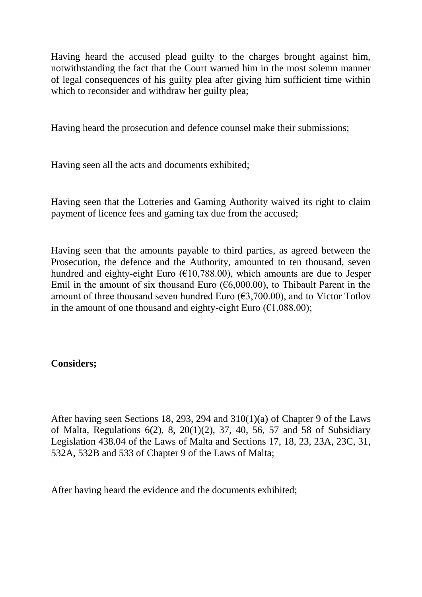Having heard the accused plead guilty to the charges brought against him, notwithstanding the fact that the Court warned him in the most solemn manner of legal consequences of his guilty plea after giving him sufficient time within which to reconsider and withdraw her guilty plea:

Having heard the prosecution and defence counsel make their submissions;

Having seen all the acts and documents exhibited;

Having seen that the Lotteries and Gaming Authority waived its right to claim payment of licence fees and gaming tax due from the accused;

Having seen that the amounts payable to third parties, as agreed between the Prosecution, the defence and the Authority, amounted to ten thousand, seven hundred and eighty-eight Euro ( $\epsilon$ 10,788.00), which amounts are due to Jesper Emil in the amount of six thousand Euro ( $\epsilon$ 6,000.00), to Thibault Parent in the amount of three thousand seven hundred Euro  $(\text{\textsterling}3,700.00)$ , and to Victor Totlov in the amount of one thousand and eighty-eight Euro  $(\epsilon 1.088.00)$ ;

### **Considers;**

After having seen Sections 18, 293, 294 and 310(1)(a) of Chapter 9 of the Laws of Malta, Regulations 6(2), 8, 20(1)(2), 37, 40, 56, 57 and 58 of Subsidiary Legislation 438.04 of the Laws of Malta and Sections 17, 18, 23, 23A, 23C, 31, 532A, 532B and 533 of Chapter 9 of the Laws of Malta;

After having heard the evidence and the documents exhibited;